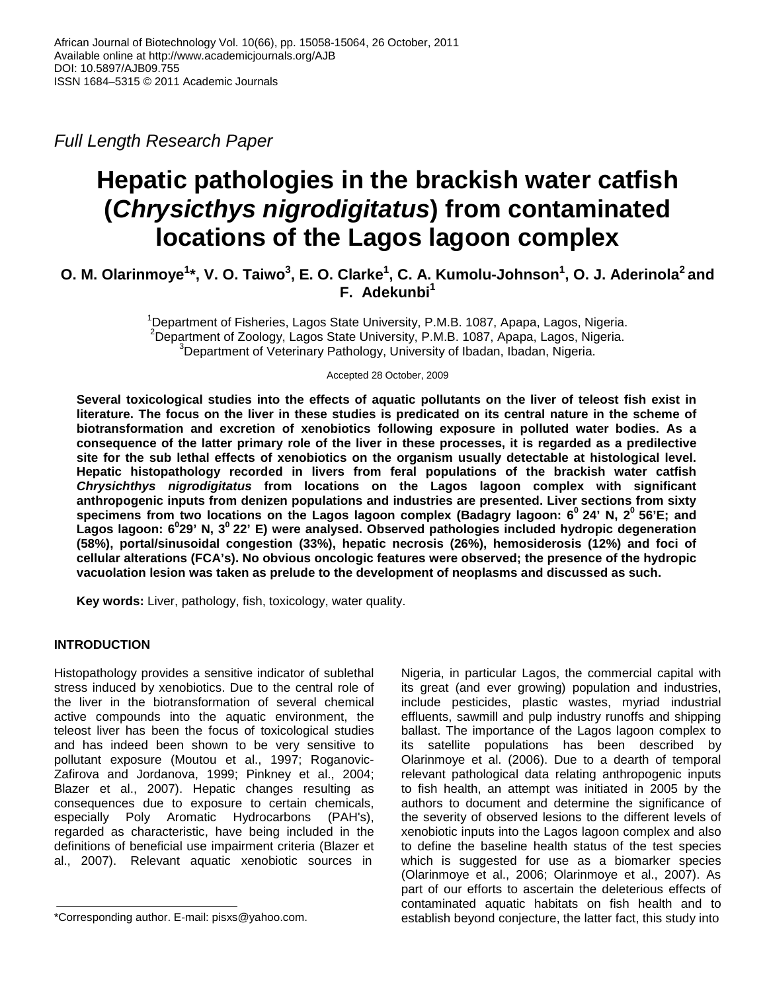*Full Length Research Paper* 

# **Hepatic pathologies in the brackish water catfish (***Chrysicthys nigrodigitatus***) from contaminated locations of the Lagos lagoon complex**

## **O. M. Olarinmoye<sup>1</sup> \*, V. O. Taiwo<sup>3</sup> , E. O. Clarke<sup>1</sup> , C. A. Kumolu-Johnson<sup>1</sup> , O. J. Aderinola<sup>2</sup>and F. Adekunbi<sup>1</sup>**

<sup>1</sup>Department of Fisheries, Lagos State University, P.M.B. 1087, Apapa, Lagos, Nigeria. <sup>2</sup>Department of Zoology, Lagos State University, P.M.B. 1087, Apapa, Lagos, Nigeria.  $3$ Department of Veterinary Pathology, University of Ibadan, Ibadan, Nigeria.

Accepted 28 October, 2009

**Several toxicological studies into the effects of aquatic pollutants on the liver of teleost fish exist in literature. The focus on the liver in these studies is predicated on its central nature in the scheme of biotransformation and excretion of xenobiotics following exposure in polluted water bodies. As a consequence of the latter primary role of the liver in these processes, it is regarded as a predilective site for the sub lethal effects of xenobiotics on the organism usually detectable at histological level. Hepatic histopathology recorded in livers from feral populations of the brackish water catfish**  *Chrysichthys nigrodigitatus* **from locations on the Lagos lagoon complex with significant anthropogenic inputs from denizen populations and industries are presented. Liver sections from sixty specimens from two locations on the Lagos lagoon complex (Badagry lagoon: 6<sup>0</sup>24' N, 2<sup>0</sup>56'E; and Lagos lagoon: 6<sup>0</sup> 29' N, 3<sup>0</sup>22' E) were analysed. Observed pathologies included hydropic degeneration (58%), portal/sinusoidal congestion (33%), hepatic necrosis (26%), hemosiderosis (12%) and foci of cellular alterations (FCA's). No obvious oncologic features were observed; the presence of the hydropic vacuolation lesion was taken as prelude to the development of neoplasms and discussed as such.** 

**Key words:** Liver, pathology, fish, toxicology, water quality.

## **INTRODUCTION**

Histopathology provides a sensitive indicator of sublethal stress induced by xenobiotics. Due to the central role of the liver in the biotransformation of several chemical active compounds into the aquatic environment, the teleost liver has been the focus of toxicological studies and has indeed been shown to be very sensitive to pollutant exposure (Moutou et al., 1997; Roganovic-Zafirova and Jordanova, 1999; Pinkney et al., 2004; Blazer et al., 2007). Hepatic changes resulting as consequences due to exposure to certain chemicals, especially Poly Aromatic Hydrocarbons (PAH's), regarded as characteristic, have being included in the definitions of beneficial use impairment criteria (Blazer et al., 2007). Relevant aquatic xenobiotic sources in

Nigeria, in particular Lagos, the commercial capital with its great (and ever growing) population and industries, include pesticides, plastic wastes, myriad industrial effluents, sawmill and pulp industry runoffs and shipping ballast. The importance of the Lagos lagoon complex to its satellite populations has been described by Olarinmoye et al. (2006). Due to a dearth of temporal relevant pathological data relating anthropogenic inputs to fish health, an attempt was initiated in 2005 by the authors to document and determine the significance of the severity of observed lesions to the different levels of xenobiotic inputs into the Lagos lagoon complex and also to define the baseline health status of the test species which is suggested for use as a biomarker species (Olarinmoye et al., 2006; Olarinmoye et al., 2007). As part of our efforts to ascertain the deleterious effects of contaminated aquatic habitats on fish health and to establish beyond conjecture, the latter fact, this study into

<sup>\*</sup>Corresponding author. E-mail: pisxs@yahoo.com.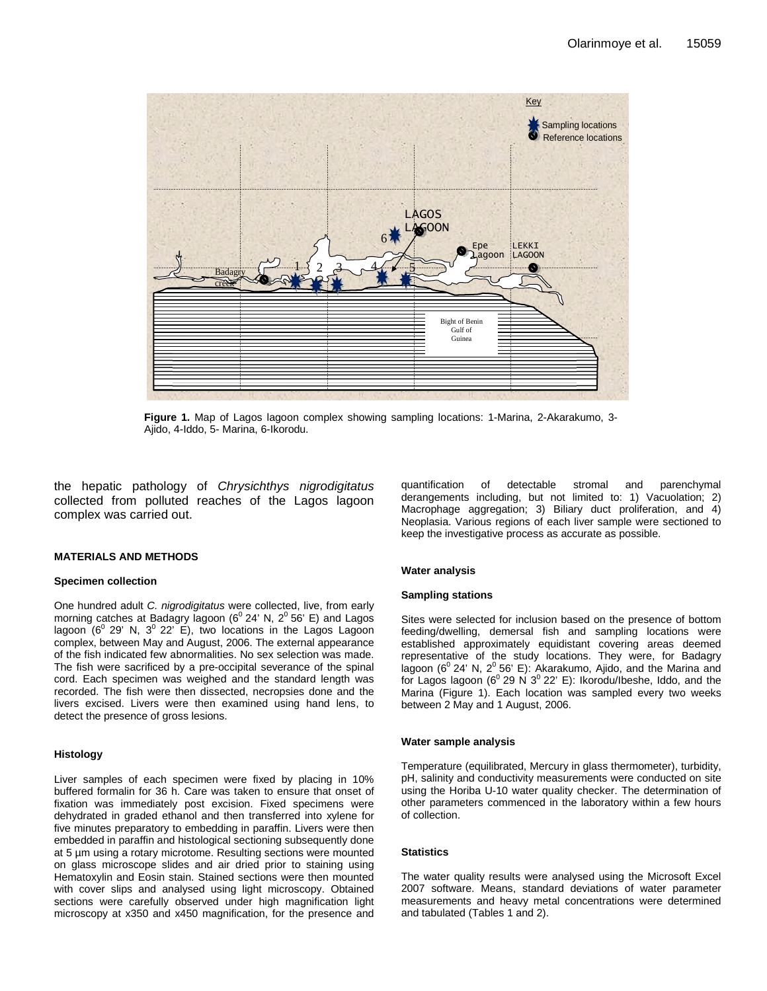

**Figure 1.** Map of Lagos lagoon complex showing sampling locations: 1-Marina, 2-Akarakumo, 3- Ajido, 4-Iddo, 5- Marina, 6-Ikorodu.

the hepatic pathology of *Chrysichthys nigrodigitatus* collected from polluted reaches of the Lagos lagoon complex was carried out.

#### **MATERIALS AND METHODS**

#### **Specimen collection**

One hundred adult *C. nigrodigitatus* were collected, live, from early morning catches at Badagry lagoon ( $6^{\circ}$  24' N,  $2^{\circ}$  56' E) and Lagos lagoon  $(6^{\circ} 29' N, 3^{\circ} 22' E)$ , two locations in the Lagos Lagoon complex, between May and August, 2006. The external appearance of the fish indicated few abnormalities. No sex selection was made. The fish were sacrificed by a pre-occipital severance of the spinal cord. Each specimen was weighed and the standard length was recorded. The fish were then dissected, necropsies done and the livers excised. Livers were then examined using hand lens, to detect the presence of gross lesions.

#### **Histology**

Liver samples of each specimen were fixed by placing in 10% buffered formalin for 36 h. Care was taken to ensure that onset of fixation was immediately post excision. Fixed specimens were dehydrated in graded ethanol and then transferred into xylene for five minutes preparatory to embedding in paraffin. Livers were then embedded in paraffin and histological sectioning subsequently done at 5 µm using a rotary microtome. Resulting sections were mounted on glass microscope slides and air dried prior to staining using Hematoxylin and Eosin stain. Stained sections were then mounted with cover slips and analysed using light microscopy. Obtained sections were carefully observed under high magnification light microscopy at x350 and x450 magnification, for the presence and quantification of detectable stromal and parenchymal derangements including, but not limited to: 1) Vacuolation; 2) Macrophage aggregation; 3) Biliary duct proliferation, and 4) Neoplasia. Various regions of each liver sample were sectioned to keep the investigative process as accurate as possible.

#### **Water analysis**

#### **Sampling stations**

Sites were selected for inclusion based on the presence of bottom feeding/dwelling, demersal fish and sampling locations were established approximately equidistant covering areas deemed representative of the study locations. They were, for Badagry lagoon ( $6^{\circ}$  24' N,  $2^{\circ}$  56' E): Akarakumo, Ajido, and the Marina and for Lagos lagoon ( $6^{\circ}$  29 N  $3^{\circ}$  22' E): Ikorodu/Ibeshe, Iddo, and the Marina (Figure 1). Each location was sampled every two weeks between 2 May and 1 August, 2006.

#### **Water sample analysis**

Temperature (equilibrated, Mercury in glass thermometer), turbidity, pH, salinity and conductivity measurements were conducted on site using the Horiba U-10 water quality checker. The determination of other parameters commenced in the laboratory within a few hours of collection.

#### **Statistics**

The water quality results were analysed using the Microsoft Excel 2007 software. Means, standard deviations of water parameter measurements and heavy metal concentrations were determined and tabulated (Tables 1 and 2).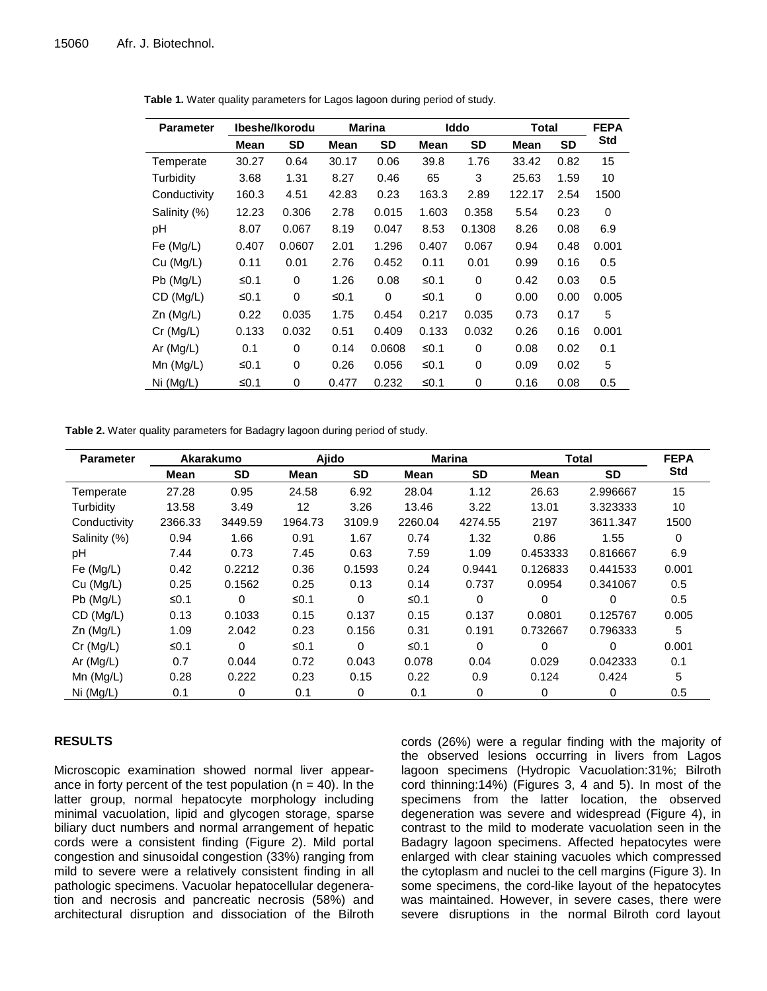| <b>Parameter</b> | Ibeshe/Ikorodu |           | <b>Marina</b> |          | Iddo  |           | Total       |           | <b>FEPA</b> |
|------------------|----------------|-----------|---------------|----------|-------|-----------|-------------|-----------|-------------|
|                  | Mean           | <b>SD</b> | Mean          | SD       | Mean  | <b>SD</b> | <b>Mean</b> | <b>SD</b> | <b>Std</b>  |
| Temperate        | 30.27          | 0.64      | 30.17         | 0.06     | 39.8  | 1.76      | 33.42       | 0.82      | 15          |
| Turbidity        | 3.68           | 1.31      | 8.27          | 0.46     | 65    | 3         | 25.63       | 1.59      | 10          |
| Conductivity     | 160.3          | 4.51      | 42.83         | 0.23     | 163.3 | 2.89      | 122.17      | 2.54      | 1500        |
| Salinity (%)     | 12.23          | 0.306     | 2.78          | 0.015    | 1.603 | 0.358     | 5.54        | 0.23      | 0           |
| рH               | 8.07           | 0.067     | 8.19          | 0.047    | 8.53  | 0.1308    | 8.26        | 0.08      | 6.9         |
| Fe $(Mg/L)$      | 0.407          | 0.0607    | 2.01          | 1.296    | 0.407 | 0.067     | 0.94        | 0.48      | 0.001       |
| Cu (Mg/L)        | 0.11           | 0.01      | 2.76          | 0.452    | 0.11  | 0.01      | 0.99        | 0.16      | 0.5         |
| $Pb$ (Mg/L)      | ≤0.1           | $\Omega$  | 1.26          | 0.08     | ≤0.1  | $\Omega$  | 0.42        | 0.03      | 0.5         |
| CD (Mg/L)        | ≤0.1           | 0         | ≤0.1          | $\Omega$ | ≤0.1  | $\Omega$  | 0.00        | 0.00      | 0.005       |
| $Zn$ (Mg/L)      | 0.22           | 0.035     | 1.75          | 0.454    | 0.217 | 0.035     | 0.73        | 0.17      | 5           |
| Cr (Mg/L)        | 0.133          | 0.032     | 0.51          | 0.409    | 0.133 | 0.032     | 0.26        | 0.16      | 0.001       |
| Ar $(Mg/L)$      | 0.1            | 0         | 0.14          | 0.0608   | ≤0.1  | $\Omega$  | 0.08        | 0.02      | 0.1         |
| $Mn$ ( $Mg/L$ )  | ≤0.1           | 0         | 0.26          | 0.056    | ≤0.1  | 0         | 0.09        | 0.02      | 5           |
| Ni (Mg/L)        | ≤ $0.1$        | 0         | 0.477         | 0.232    | ≤0.1  | 0         | 0.16        | 0.08      | 0.5         |

**Table 1.** Water quality parameters for Lagos lagoon during period of study.

**Table 2.** Water quality parameters for Badagry lagoon during period of study.

| <b>Parameter</b> | Akarakumo |           | Ajido   |           | <b>Marina</b> |           | <b>Total</b> |           | <b>FEPA</b> |
|------------------|-----------|-----------|---------|-----------|---------------|-----------|--------------|-----------|-------------|
|                  | Mean      | <b>SD</b> | Mean    | <b>SD</b> | Mean          | <b>SD</b> | Mean         | <b>SD</b> | <b>Std</b>  |
| Temperate        | 27.28     | 0.95      | 24.58   | 6.92      | 28.04         | 1.12      | 26.63        | 2.996667  | 15          |
| Turbidity        | 13.58     | 3.49      | 12      | 3.26      | 13.46         | 3.22      | 13.01        | 3.323333  | 10          |
| Conductivity     | 2366.33   | 3449.59   | 1964.73 | 3109.9    | 2260.04       | 4274.55   | 2197         | 3611.347  | 1500        |
| Salinity (%)     | 0.94      | 1.66      | 0.91    | 1.67      | 0.74          | 1.32      | 0.86         | 1.55      | $\Omega$    |
| pH               | 7.44      | 0.73      | 7.45    | 0.63      | 7.59          | 1.09      | 0.453333     | 0.816667  | 6.9         |
| Fe (Mg/L)        | 0.42      | 0.2212    | 0.36    | 0.1593    | 0.24          | 0.9441    | 0.126833     | 0.441533  | 0.001       |
| Cu (Ma/L)        | 0.25      | 0.1562    | 0.25    | 0.13      | 0.14          | 0.737     | 0.0954       | 0.341067  | 0.5         |
| $Pb$ (Mg/L)      | ≤0.1      | 0         | ≤0.1    | 0         | ≤0.1          | $\Omega$  | $\Omega$     | 0         | 0.5         |
| CD (Mg/L)        | 0.13      | 0.1033    | 0.15    | 0.137     | 0.15          | 0.137     | 0.0801       | 0.125767  | 0.005       |
| $Zn$ (Mg/L)      | 1.09      | 2.042     | 0.23    | 0.156     | 0.31          | 0.191     | 0.732667     | 0.796333  | 5           |
| $Cr$ (Mg/L)      | ≤0.1      | $\Omega$  | ≤0.1    | 0         | ≤0.1          | $\Omega$  | 0            | $\Omega$  | 0.001       |
| Ar $(Mg/L)$      | 0.7       | 0.044     | 0.72    | 0.043     | 0.078         | 0.04      | 0.029        | 0.042333  | 0.1         |
| $Mn$ ( $Mg/L$ )  | 0.28      | 0.222     | 0.23    | 0.15      | 0.22          | 0.9       | 0.124        | 0.424     | 5           |
| Ni (Mg/L)        | 0.1       | 0         | 0.1     | 0         | 0.1           | 0         | 0            | 0         | 0.5         |

## **RESULTS**

Microscopic examination showed normal liver appearance in forty percent of the test population ( $n = 40$ ). In the latter group, normal hepatocyte morphology including minimal vacuolation, lipid and glycogen storage, sparse biliary duct numbers and normal arrangement of hepatic cords were a consistent finding (Figure 2). Mild portal congestion and sinusoidal congestion (33%) ranging from mild to severe were a relatively consistent finding in all pathologic specimens. Vacuolar hepatocellular degeneration and necrosis and pancreatic necrosis (58%) and architectural disruption and dissociation of the Bilroth

cords (26%) were a regular finding with the majority of the observed lesions occurring in livers from Lagos lagoon specimens (Hydropic Vacuolation:31%; Bilroth cord thinning:14%) (Figures 3, 4 and 5). In most of the specimens from the latter location, the observed degeneration was severe and widespread (Figure 4), in contrast to the mild to moderate vacuolation seen in the Badagry lagoon specimens. Affected hepatocytes were enlarged with clear staining vacuoles which compressed the cytoplasm and nuclei to the cell margins (Figure 3). In some specimens, the cord-like layout of the hepatocytes was maintained. However, in severe cases, there were severe disruptions in the normal Bilroth cord layout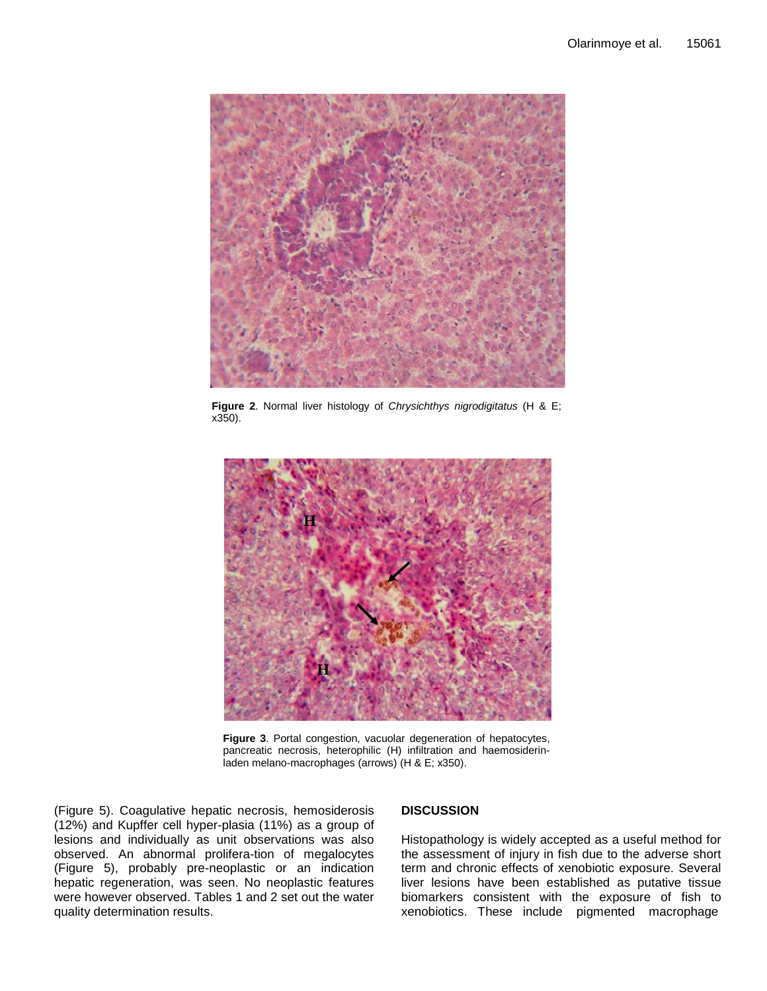

**Figure 2**. Normal liver histology of *Chrysichthys nigrodigitatus* (H & E; x350).



**Figure 3**. Portal congestion, vacuolar degeneration of hepatocytes, pancreatic necrosis, heterophilic (H) infiltration and haemosiderinladen melano-macrophages (arrows) (H & E; x350).

(Figure 5). Coagulative hepatic necrosis, hemosiderosis (12%) and Kupffer cell hyper-plasia (11%) as a group of lesions and individually as unit observations was also observed. An abnormal prolifera-tion of megalocytes (Figure 5), probably pre-neoplastic or an indication hepatic regeneration, was seen. No neoplastic features were however observed. Tables 1 and 2 set out the water quality determination results.

## **DISCUSSION**

Histopathology is widely accepted as a useful method for the assessment of injury in fish due to the adverse short term and chronic effects of xenobiotic exposure. Several liver lesions have been established as putative tissue biomarkers consistent with the exposure of fish to xenobiotics. These include pigmented macrophage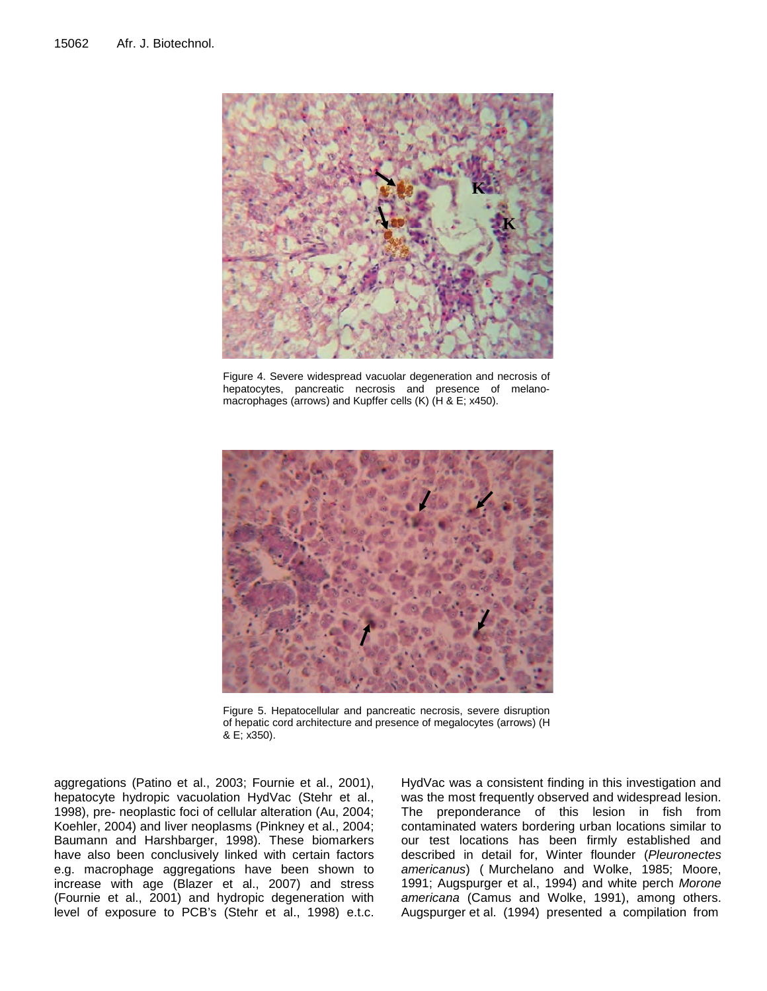

Figure 4. Severe widespread vacuolar degeneration and necrosis of hepatocytes, pancreatic necrosis and presence of melanomacrophages (arrows) and Kupffer cells (K) (H & E; x450).



Figure 5. Hepatocellular and pancreatic necrosis, severe disruption of hepatic cord architecture and presence of megalocytes (arrows) (H & E; x350).

aggregations (Patino et al., 2003; Fournie et al., 2001), hepatocyte hydropic vacuolation HydVac (Stehr et al., 1998), pre- neoplastic foci of cellular alteration (Au, 2004; Koehler, 2004) and liver neoplasms (Pinkney et al., 2004; Baumann and Harshbarger, 1998). These biomarkers have also been conclusively linked with certain factors e.g. macrophage aggregations have been shown to increase with age (Blazer et al., 2007) and stress (Fournie et al., 2001) and hydropic degeneration with level of exposure to PCB's (Stehr et al., 1998) e.t.c.

HydVac was a consistent finding in this investigation and was the most frequently observed and widespread lesion. The preponderance of this lesion in fish from contaminated waters bordering urban locations similar to our test locations has been firmly established and described in detail for, Winter flounder (*Pleuronectes americanus*) ( Murchelano and Wolke, 1985; Moore, 1991; Augspurger et al., 1994) and white perch *Morone americana* (Camus and Wolke, 1991), among others. Augspurger et al. (1994) presented a compilation from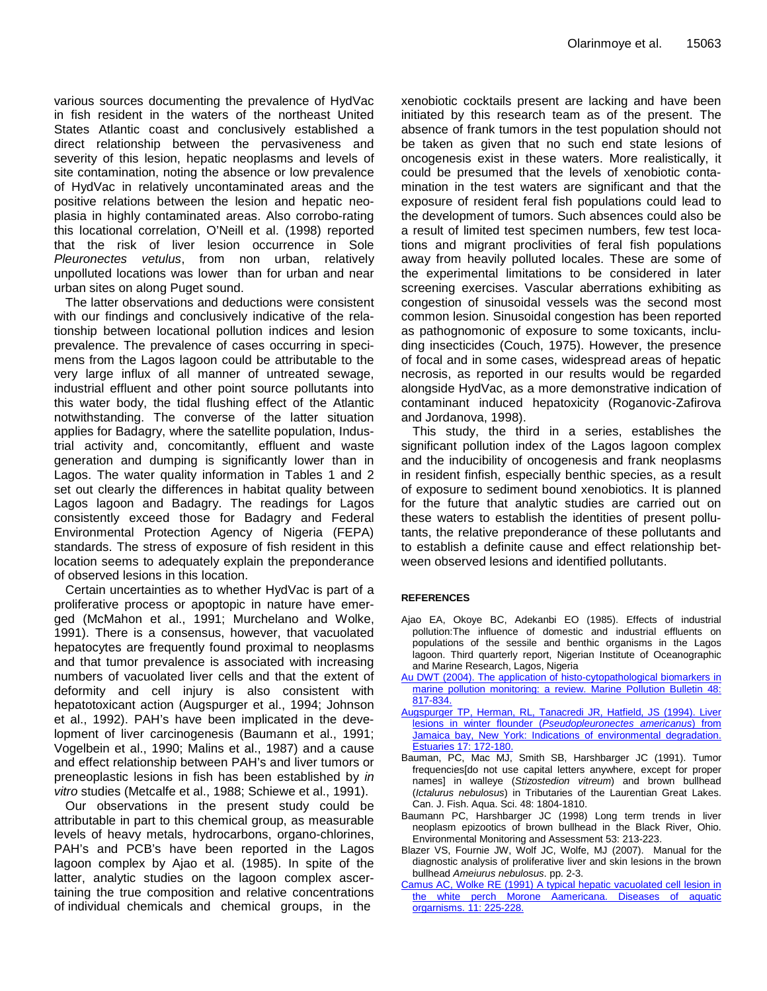various sources documenting the prevalence of HydVac in fish resident in the waters of the northeast United States Atlantic coast and conclusively established a direct relationship between the pervasiveness and severity of this lesion, hepatic neoplasms and levels of site contamination, noting the absence or low prevalence of HydVac in relatively uncontaminated areas and the positive relations between the lesion and hepatic neoplasia in highly contaminated areas. Also corrobo-rating this locational correlation, O'Neill et al. (1998) reported that the risk of liver lesion occurrence in Sole *Pleuronectes vetulus*, from non urban, relatively unpolluted locations was lower than for urban and near urban sites on along Puget sound.

The latter observations and deductions were consistent with our findings and conclusively indicative of the relationship between locational pollution indices and lesion prevalence. The prevalence of cases occurring in specimens from the Lagos lagoon could be attributable to the very large influx of all manner of untreated sewage, industrial effluent and other point source pollutants into this water body, the tidal flushing effect of the Atlantic notwithstanding. The converse of the latter situation applies for Badagry, where the satellite population, Industrial activity and, concomitantly, effluent and waste generation and dumping is significantly lower than in Lagos. The water quality information in Tables 1 and 2 set out clearly the differences in habitat quality between Lagos lagoon and Badagry. The readings for Lagos consistently exceed those for Badagry and Federal Environmental Protection Agency of Nigeria (FEPA) standards. The stress of exposure of fish resident in this location seems to adequately explain the preponderance of observed lesions in this location.

Certain uncertainties as to whether HydVac is part of a proliferative process or apoptopic in nature have emerged (McMahon et al., 1991; Murchelano and Wolke, 1991). There is a consensus, however, that vacuolated hepatocytes are frequently found proximal to neoplasms and that tumor prevalence is associated with increasing numbers of vacuolated liver cells and that the extent of deformity and cell injury is also consistent with hepatotoxicant action (Augspurger et al., 1994; Johnson et al., 1992). PAH's have been implicated in the development of liver carcinogenesis (Baumann et al., 1991; Vogelbein et al., 1990; Malins et al., 1987) and a cause and effect relationship between PAH's and liver tumors or preneoplastic lesions in fish has been established by *in vitro* studies (Metcalfe et al., 1988; Schiewe et al., 1991).

Our observations in the present study could be attributable in part to this chemical group, as measurable levels of heavy metals, hydrocarbons, organo-chlorines, PAH's and PCB's have been reported in the Lagos lagoon complex by Ajao et al. (1985). In spite of the latter, analytic studies on the lagoon complex ascertaining the true composition and relative concentrations of individual chemicals and chemical groups, in the

xenobiotic cocktails present are lacking and have been initiated by this research team as of the present. The absence of frank tumors in the test population should not be taken as given that no such end state lesions of oncogenesis exist in these waters. More realistically, it could be presumed that the levels of xenobiotic contamination in the test waters are significant and that the exposure of resident feral fish populations could lead to the development of tumors. Such absences could also be a result of limited test specimen numbers, few test locations and migrant proclivities of feral fish populations away from heavily polluted locales. These are some of the experimental limitations to be considered in later screening exercises. Vascular aberrations exhibiting as congestion of sinusoidal vessels was the second most common lesion. Sinusoidal congestion has been reported as pathognomonic of exposure to some toxicants, including insecticides (Couch, 1975). However, the presence of focal and in some cases, widespread areas of hepatic necrosis, as reported in our results would be regarded alongside HydVac, as a more demonstrative indication of contaminant induced hepatoxicity (Roganovic-Zafirova and Jordanova, 1998).

This study, the third in a series, establishes the significant pollution index of the Lagos lagoon complex and the inducibility of oncogenesis and frank neoplasms in resident finfish, especially benthic species, as a result of exposure to sediment bound xenobiotics. It is planned for the future that analytic studies are carried out on these waters to establish the identities of present pollutants, the relative preponderance of these pollutants and to establish a definite cause and effect relationship between observed lesions and identified pollutants.

### **REFERENCES**

- Ajao EA, Okoye BC, Adekanbi EO (1985). Effects of industrial pollution:The influence of domestic and industrial effluents on populations of the sessile and benthic organisms in the Lagos lagoon. Third quarterly report, Nigerian Institute of Oceanographic and Marine Research, Lagos, Nigeria
- Au DWT (2004). The application of histo-cytopathological biomarkers in marine pollution monitoring: a review. Marine Pollution Bulletin 48: 817-834.
- Augspurger TP, Herman, RL, Tanacredi JR, Hatfield, JS (1994). Liver lesions in winter flounder (*Pseudopleuronectes americanus*) from Jamaica bay, New York: Indications of environmental degradation. Estuaries 17: 172-180.
- Bauman, PC, Mac MJ, Smith SB, Harshbarger JC (1991). Tumor frequencies[do not use capital letters anywhere, except for proper names] in walleye (*Stizostedion vitreum*) and brown bullhead (*Ictalurus nebulosus*) in Tributaries of the Laurentian Great Lakes. Can. J. Fish. Aqua. Sci. 48: 1804-1810.
- Baumann PC, Harshbarger JC (1998) Long term trends in liver neoplasm epizootics of brown bullhead in the Black River, Ohio. Environmental Monitoring and Assessment 53: 213-223.
- Blazer VS, Fournie JW, Wolf JC, Wolfe, MJ (2007). Manual for the diagnostic analysis of proliferative liver and skin lesions in the brown bullhead *Ameiurus nebulosus*. pp. 2-3.
- Camus AC, Wolke RE (1991) A typical hepatic vacuolated cell lesion in the white perch Morone Aamericana. Diseases of aquatic orgarnisms. 11: 225-228.